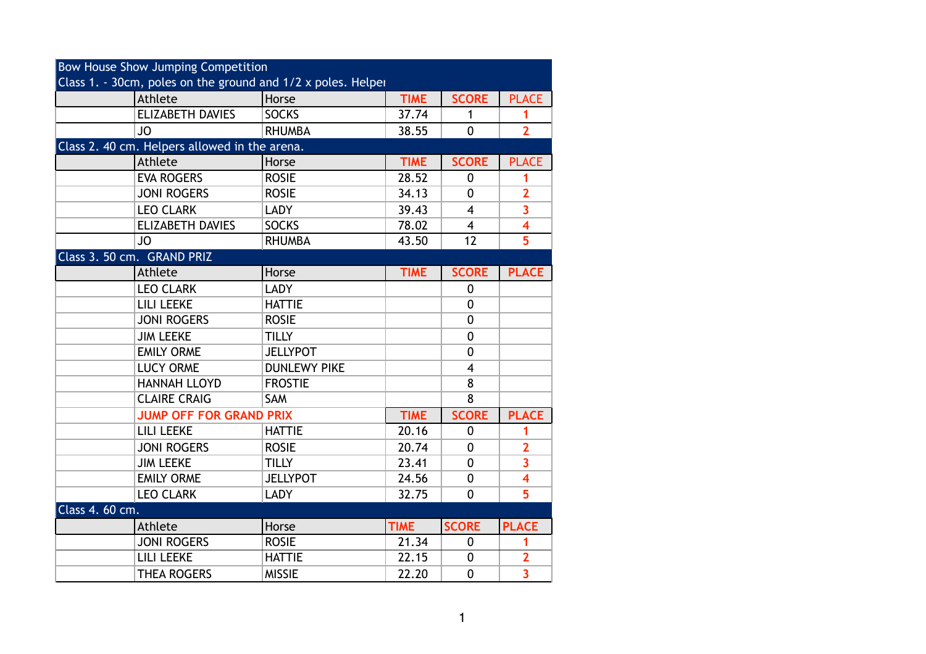| <b>Bow House Show Jumping Competition</b>                    |                                               |                     |             |                |                         |  |  |
|--------------------------------------------------------------|-----------------------------------------------|---------------------|-------------|----------------|-------------------------|--|--|
| Class 1. - 30cm, poles on the ground and 1/2 x poles. Helper |                                               |                     |             |                |                         |  |  |
|                                                              | Athlete                                       | Horse               | <b>TIME</b> | <b>SCORE</b>   | <b>PLACE</b>            |  |  |
|                                                              | <b>ELIZABETH DAVIES</b>                       | <b>SOCKS</b>        | 37.74       | 1              | 1                       |  |  |
|                                                              | <b>JO</b>                                     | <b>RHUMBA</b>       | 38.55       | $\mathbf 0$    | $\overline{2}$          |  |  |
|                                                              | Class 2. 40 cm. Helpers allowed in the arena. |                     |             |                |                         |  |  |
|                                                              | Athlete                                       | Horse               | <b>TIME</b> | <b>SCORE</b>   | <b>PLACE</b>            |  |  |
|                                                              | <b>EVA ROGERS</b>                             | <b>ROSIE</b>        | 28.52       | $\mathbf{0}$   | 1                       |  |  |
|                                                              | <b>JONI ROGERS</b>                            | <b>ROSIE</b>        | 34.13       | 0              | $\overline{2}$          |  |  |
|                                                              | <b>LEO CLARK</b>                              | <b>LADY</b>         | 39.43       | $\overline{4}$ | $\overline{\mathbf{3}}$ |  |  |
|                                                              | <b>ELIZABETH DAVIES</b>                       | <b>SOCKS</b>        | 78.02       | $\overline{4}$ | $\overline{\mathbf{4}}$ |  |  |
|                                                              | <b>JO</b>                                     | <b>RHUMBA</b>       | 43.50       | 12             | $\overline{5}$          |  |  |
|                                                              | Class 3. 50 cm. GRAND PRIZ                    |                     |             |                |                         |  |  |
|                                                              | Athlete                                       | Horse               | <b>TIME</b> | <b>SCORE</b>   | <b>PLACE</b>            |  |  |
|                                                              | <b>LEO CLARK</b>                              | <b>LADY</b>         |             | $\mathbf{0}$   |                         |  |  |
|                                                              | <b>LILI LEEKE</b>                             | <b>HATTIE</b>       |             | 0              |                         |  |  |
|                                                              | <b>JONI ROGERS</b>                            | <b>ROSIE</b>        |             | $\mathbf 0$    |                         |  |  |
|                                                              | <b>JIM LEEKE</b>                              | <b>TILLY</b>        |             | $\mathbf 0$    |                         |  |  |
|                                                              | <b>EMILY ORME</b>                             | <b>JELLYPOT</b>     |             | $\mathbf 0$    |                         |  |  |
|                                                              | <b>LUCY ORME</b>                              | <b>DUNLEWY PIKE</b> |             | $\overline{4}$ |                         |  |  |
|                                                              | <b>HANNAH LLOYD</b>                           | <b>FROSTIE</b>      |             | 8              |                         |  |  |
|                                                              | <b>CLAIRE CRAIG</b>                           | SAM                 |             | 8              |                         |  |  |
|                                                              | <b>JUMP OFF FOR GRAND PRIX</b>                |                     | <b>TIME</b> | <b>SCORE</b>   | <b>PLACE</b>            |  |  |
|                                                              | <b>LILI LEEKE</b>                             | <b>HATTIE</b>       | 20.16       | 0              | 1                       |  |  |
|                                                              | <b>JONI ROGERS</b>                            | <b>ROSIE</b>        | 20.74       | $\mathbf{0}$   | $\overline{2}$          |  |  |
|                                                              | <b>JIM LEEKE</b>                              | <b>TILLY</b>        | 23.41       | $\mathbf 0$    | $\overline{\mathbf{3}}$ |  |  |
|                                                              | <b>EMILY ORME</b>                             | <b>JELLYPOT</b>     | 24.56       | $\mathbf 0$    | $\overline{\mathbf{4}}$ |  |  |
|                                                              | <b>LEO CLARK</b>                              | <b>LADY</b>         | 32.75       | $\mathbf 0$    | 5                       |  |  |
| Class 4. 60 cm.                                              |                                               |                     |             |                |                         |  |  |
|                                                              | Athlete                                       | Horse               | <b>TIME</b> | <b>SCORE</b>   | <b>PLACE</b>            |  |  |
|                                                              | <b>JONI ROGERS</b>                            | <b>ROSIE</b>        | 21.34       | $\mathbf 0$    | 1                       |  |  |
|                                                              | LILI LEEKE                                    | <b>HATTIE</b>       | 22.15       | 0              | $\overline{2}$          |  |  |
|                                                              | <b>THEA ROGERS</b>                            | <b>MISSIE</b>       | 22.20       | $\mathbf 0$    | $\overline{\mathbf{3}}$ |  |  |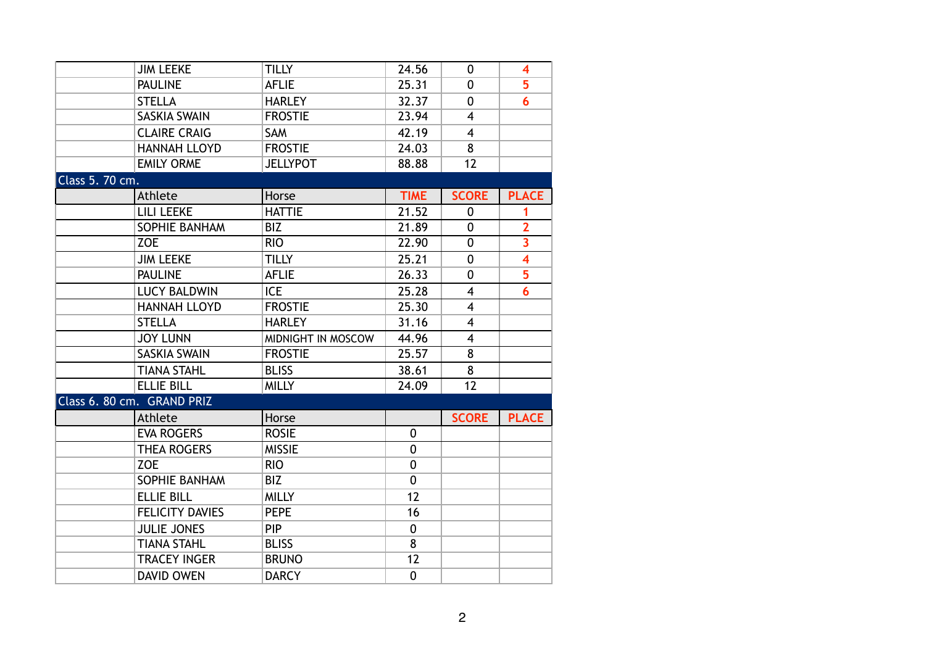| <b>JIM LEEKE</b><br><b>PAULINE</b><br><b>STELLA</b> | <b>TILLY</b>       | 24.56          |                         |                         |
|-----------------------------------------------------|--------------------|----------------|-------------------------|-------------------------|
|                                                     |                    |                | 0                       | 4                       |
|                                                     | <b>AFLIE</b>       | 25.31          | $\mathbf 0$             | 5                       |
|                                                     | <b>HARLEY</b>      | 32.37          | 0                       | 6                       |
| <b>SASKIA SWAIN</b>                                 | <b>FROSTIE</b>     | 23.94          | $\overline{4}$          |                         |
| <b>CLAIRE CRAIG</b>                                 | <b>SAM</b>         | 42.19          | $\overline{4}$          |                         |
| <b>HANNAH LLOYD</b>                                 | <b>FROSTIE</b>     | 24.03          | 8                       |                         |
| <b>EMILY ORME</b>                                   | <b>JELLYPOT</b>    | 88.88          | 12                      |                         |
| Class 5. 70 cm.                                     |                    |                |                         |                         |
| Athlete                                             | Horse              | <b>TIME</b>    | <b>SCORE</b>            | <b>PLACE</b>            |
| <b>LILI LEEKE</b>                                   | <b>HATTIE</b>      | 21.52          | 0                       | 1                       |
| SOPHIE BANHAM<br><b>BIZ</b>                         |                    | 21.89          | $\mathbf 0$             | $\overline{2}$          |
| <b>ZOE</b><br><b>RIO</b>                            |                    | 22.90          | $\mathbf 0$             | $\overline{\mathbf{3}}$ |
| <b>JIM LEEKE</b>                                    | <b>TILLY</b>       | 25.21          | $\mathbf 0$             | $\overline{\mathbf{4}}$ |
| <b>PAULINE</b>                                      | <b>AFLIE</b>       | 26.33          | $\mathbf 0$             | 5                       |
| <b>ICE</b><br><b>LUCY BALDWIN</b>                   |                    | 25.28          | $\overline{\mathbf{4}}$ | $\overline{\mathbf{6}}$ |
| <b>HANNAH LLOYD</b>                                 | <b>FROSTIE</b>     | 25.30          | 4                       |                         |
| <b>STELLA</b>                                       | <b>HARLEY</b>      | 31.16          | $\overline{4}$          |                         |
| <b>JOY LUNN</b>                                     | MIDNIGHT IN MOSCOW | 44.96          | $\overline{4}$          |                         |
| <b>SASKIA SWAIN</b>                                 | <b>FROSTIE</b>     | 25.57          | 8                       |                         |
|                                                     | <b>BLISS</b>       | 38.61          |                         |                         |
| <b>TIANA STAHL</b>                                  |                    |                | 8                       |                         |
| <b>ELLIE BILL</b>                                   | <b>MILLY</b>       | 24.09          | 12                      |                         |
| Class 6. 80 cm. GRAND PRIZ                          |                    |                |                         |                         |
| Athlete                                             | Horse              |                | <b>SCORE</b>            | <b>PLACE</b>            |
| <b>EVA ROGERS</b>                                   | <b>ROSIE</b>       | 0              |                         |                         |
| <b>THEA ROGERS</b>                                  | <b>MISSIE</b>      | $\overline{0}$ |                         |                         |
| <b>ZOE</b><br><b>RIO</b>                            |                    | $\mathbf 0$    |                         |                         |
| <b>SOPHIE BANHAM</b><br><b>BIZ</b>                  |                    | $\mathbf 0$    |                         |                         |
| <b>ELLIE BILL</b>                                   | <b>MILLY</b>       | 12             |                         |                         |
| <b>FELICITY DAVIES</b>                              | <b>PEPE</b>        | 16             |                         |                         |
| <b>JULIE JONES</b><br><b>PIP</b>                    |                    | $\mathbf 0$    |                         |                         |
| <b>TIANA STAHL</b>                                  | <b>BLISS</b>       | 8              |                         |                         |
| <b>TRACEY INGER</b>                                 | <b>BRUNO</b>       | 12             |                         |                         |